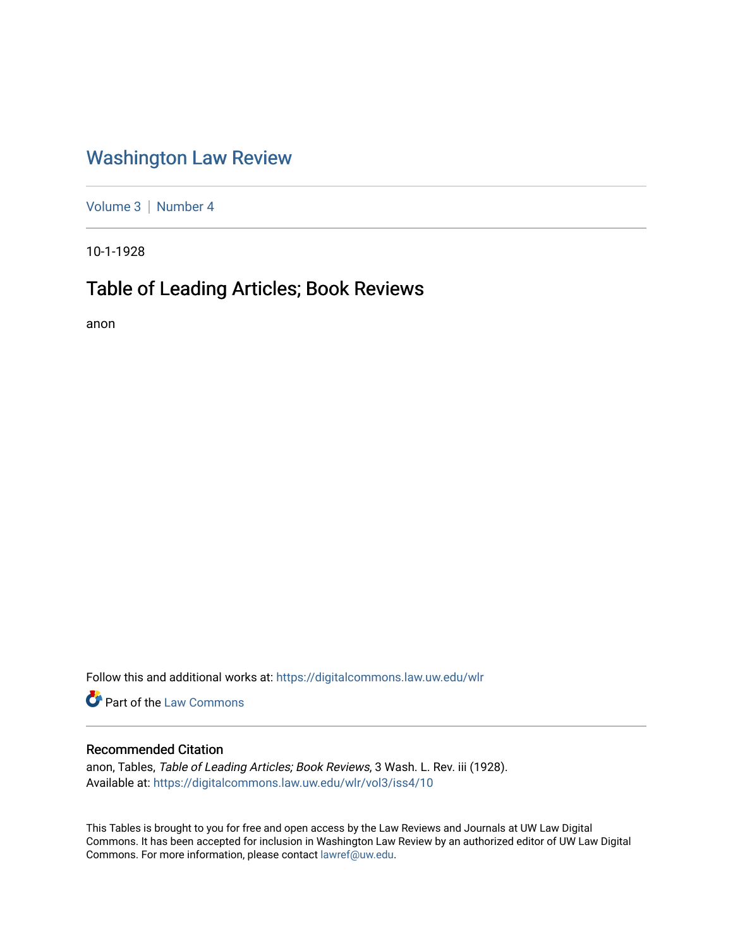# [Washington Law Review](https://digitalcommons.law.uw.edu/wlr)

[Volume 3](https://digitalcommons.law.uw.edu/wlr/vol3) | [Number 4](https://digitalcommons.law.uw.edu/wlr/vol3/iss4)

10-1-1928

## Table of Leading Articles; Book Reviews

anon

Follow this and additional works at: [https://digitalcommons.law.uw.edu/wlr](https://digitalcommons.law.uw.edu/wlr?utm_source=digitalcommons.law.uw.edu%2Fwlr%2Fvol3%2Fiss4%2F10&utm_medium=PDF&utm_campaign=PDFCoverPages)

**C** Part of the [Law Commons](http://network.bepress.com/hgg/discipline/578?utm_source=digitalcommons.law.uw.edu%2Fwlr%2Fvol3%2Fiss4%2F10&utm_medium=PDF&utm_campaign=PDFCoverPages)

#### Recommended Citation

anon, Tables, Table of Leading Articles; Book Reviews, 3 Wash. L. Rev. iii (1928). Available at: [https://digitalcommons.law.uw.edu/wlr/vol3/iss4/10](https://digitalcommons.law.uw.edu/wlr/vol3/iss4/10?utm_source=digitalcommons.law.uw.edu%2Fwlr%2Fvol3%2Fiss4%2F10&utm_medium=PDF&utm_campaign=PDFCoverPages)

This Tables is brought to you for free and open access by the Law Reviews and Journals at UW Law Digital Commons. It has been accepted for inclusion in Washington Law Review by an authorized editor of UW Law Digital Commons. For more information, please contact [lawref@uw.edu](mailto:lawref@uw.edu).